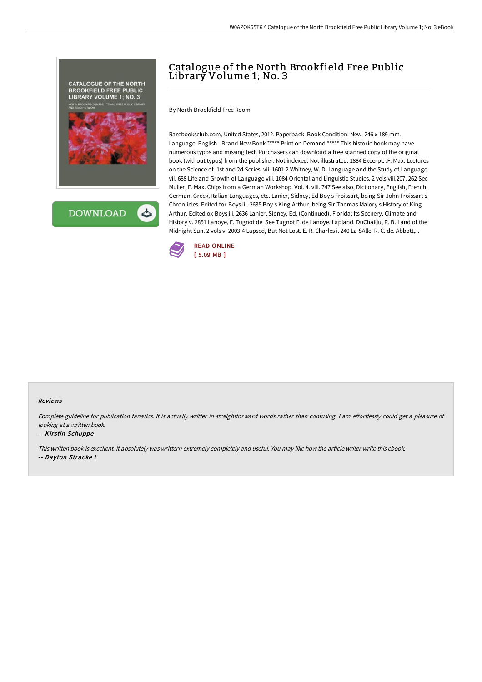



# Catalogue of the North Brookfield Free Public Library Volume 1; No. 3

By North Brookfield Free Room

Rarebooksclub.com, United States, 2012. Paperback. Book Condition: New. 246 x 189 mm. Language: English . Brand New Book \*\*\*\*\* Print on Demand \*\*\*\*\*.This historic book may have numerous typos and missing text. Purchasers can download a free scanned copy of the original book (without typos) from the publisher. Not indexed. Not illustrated. 1884 Excerpt: .F. Max. Lectures on the Science of. 1st and 2d Series. vii. 1601-2 Whitney, W. D. Language and the Study of Language vii. 688 Life and Growth of Language viii. 1084 Oriental and Linguistic Studies. 2 vols viii.207, 262 See Muller, F. Max. Chips from a German Workshop. Vol. 4. viii. 747 See also, Dictionary, English, French, German, Greek, Italian Languages, etc. Lanier, Sidney, Ed Boy s Froissart, being Sir John Froissart s Chron-icles. Edited for Boys iii. 2635 Boy s King Arthur, being Sir Thomas Malory s History of King Arthur. Edited ox Boys iii. 2636 Lanier, Sidney, Ed. (Continued). Florida; Its Scenery, Climate and History v. 2851 Lanoye, F. Tugnot de. See Tugnot F. de Lanoye. Lapland. DuChaillu, P. B. Land of the Midnight Sun. 2 vols v. 2003-4 Lapsed, But Not Lost. E. R. Charles i. 240 La SAlle, R. C. de. Abbott,...



#### Reviews

Complete guideline for publication fanatics. It is actually writter in straightforward words rather than confusing. I am effortlessly could get a pleasure of looking at <sup>a</sup> written book.

#### -- Kirstin Schuppe

This written book is excellent. it absolutely was writtern extremely completely and useful. You may like how the article writer write this ebook.

-- Dayton Stracke I